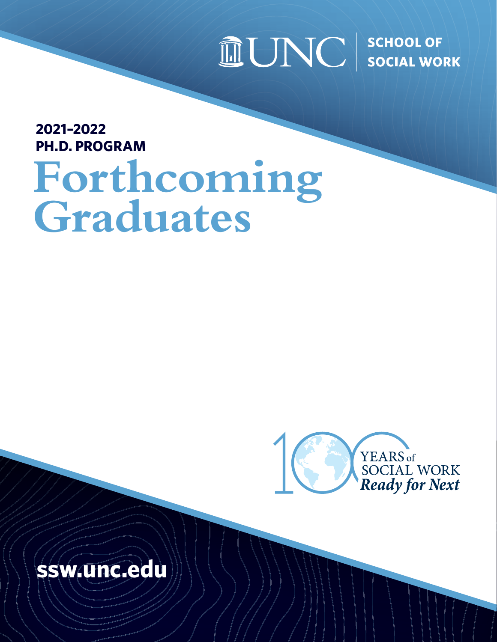## $\widehat{\mathbb{I}\hspace{-0.2em}\mathrm{I}}$   $\bigcup$   $\bigcap$   $\bigcup$   $\bigcup$   $\bigcup$  school of

### **2021–2022 PH.D. PROGRAM**

# **Forthcoming Graduates**



## **[ssw.unc.edu](https://ssw.unc.edu/)**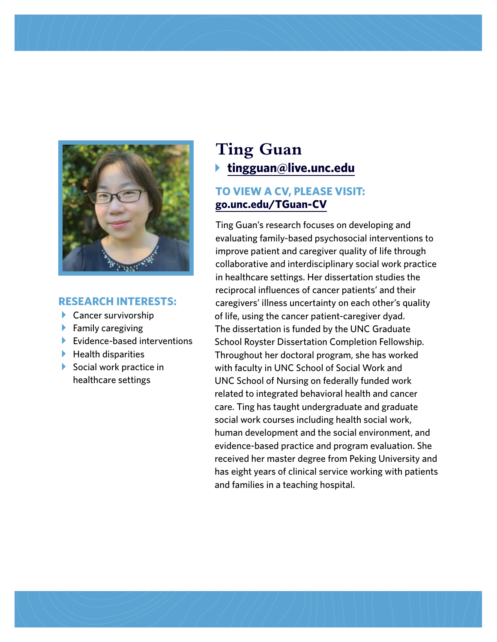

#### **RESEARCH INTERESTS:**

- $\blacktriangleright$  Cancer survivorship
- $\blacktriangleright$  Family caregiving
- $\blacktriangleright$  Evidence-based interventions
- $\blacktriangleright$  Health disparities
- $\triangleright$  Social work practice in healthcare settings

## **Ting Guan** b **[tingguan@live.unc.edu](mailto:tingguan%40live.unc.edu?subject=)**

#### **TO VIEW A CV, PLEASE VISIT: [go.unc.edu/TGuan-CV](https://go.unc.edu/TGuan-CV)**

Ting Guan's research focuses on developing and evaluating family-based psychosocial interventions to improve patient and caregiver quality of life through collaborative and interdisciplinary social work practice in healthcare settings. Her dissertation studies the reciprocal influences of cancer patients' and their caregivers' illness uncertainty on each other's quality of life, using the cancer patient-caregiver dyad. The dissertation is funded by the UNC Graduate School Royster Dissertation Completion Fellowship. Throughout her doctoral program, she has worked with faculty in UNC School of Social Work and UNC School of Nursing on federally funded work related to integrated behavioral health and cancer care. Ting has taught undergraduate and graduate social work courses including health social work, human development and the social environment, and evidence-based practice and program evaluation. She received her master degree from Peking University and has eight years of clinical service working with patients and families in a teaching hospital.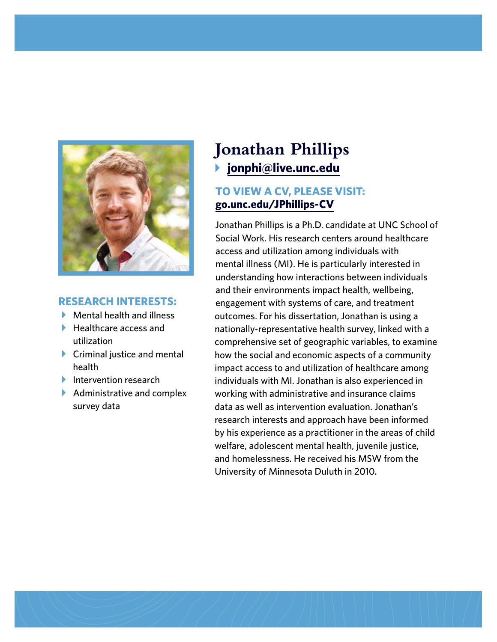

#### **RESEARCH INTERESTS:**

- $\blacktriangleright$  Mental health and illness
- $\blacktriangleright$  Healthcare access and utilization
- $\triangleright$  Criminal justice and mental health
- $\blacktriangleright$  Intervention research
- $\blacktriangleright$  Administrative and complex survey data

## **Jonathan Phillips** b **[jonphi@live.unc.edu](mailto:jonphi%40live.unc.edu?subject=)**

#### **TO VIEW A CV, PLEASE VISIT: [go.unc.edu/JPhillips-CV](https://go.unc.edu/JPhillips-CV)**

Jonathan Phillips is a Ph.D. candidate at UNC School of Social Work. His research centers around healthcare access and utilization among individuals with mental illness (MI). He is particularly interested in understanding how interactions between individuals and their environments impact health, wellbeing, engagement with systems of care, and treatment outcomes. For his dissertation, Jonathan is using a nationally-representative health survey, linked with a comprehensive set of geographic variables, to examine how the social and economic aspects of a community impact access to and utilization of healthcare among individuals with MI. Jonathan is also experienced in working with administrative and insurance claims data as well as intervention evaluation. Jonathan's research interests and approach have been informed by his experience as a practitioner in the areas of child welfare, adolescent mental health, juvenile justice, and homelessness. He received his MSW from the University of Minnesota Duluth in 2010.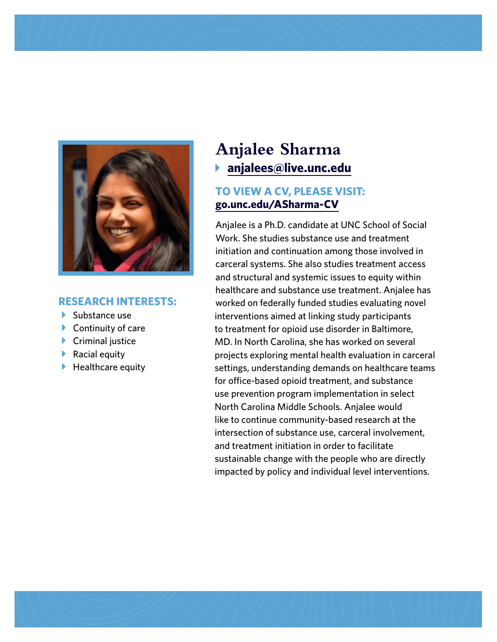

#### **RESEARCH INTERESTS:**

- $\blacktriangleright$  Substance use
- $\blacktriangleright$  Continuity of care
- $\blacktriangleright$  Criminal justice
- $\blacktriangleright$  Racial equity
- $\blacktriangleright$  Healthcare equity

## **Anjalee Sharma** b **[anjalees@live.unc.edu](mailto:anjalees%40live.unc.edu?subject=)**

#### **TO VIEW A CV, PLEASE VISIT: [go.unc.edu/ASharma-CV](https://go.unc.edu/ASharma-CV)**

Anjalee is a Ph.D. candidate at UNC School of Social Work. She studies substance use and treatment initiation and continuation among those involved in carceral systems. She also studies treatment access and structural and systemic issues to equity within healthcare and substance use treatment. Anjalee has worked on federally funded studies evaluating novel interventions aimed at linking study participants to treatment for opioid use disorder in Baltimore, MD. In North Carolina, she has worked on several projects exploring mental health evaluation in carceral settings, understanding demands on healthcare teams for office-based opioid treatment, and substance use prevention program implementation in select North Carolina Middle Schools. Anjalee would like to continue community-based research at the intersection of substance use, carceral involvement, and treatment initiation in order to facilitate sustainable change with the people who are directly impacted by policy and individual level interventions.